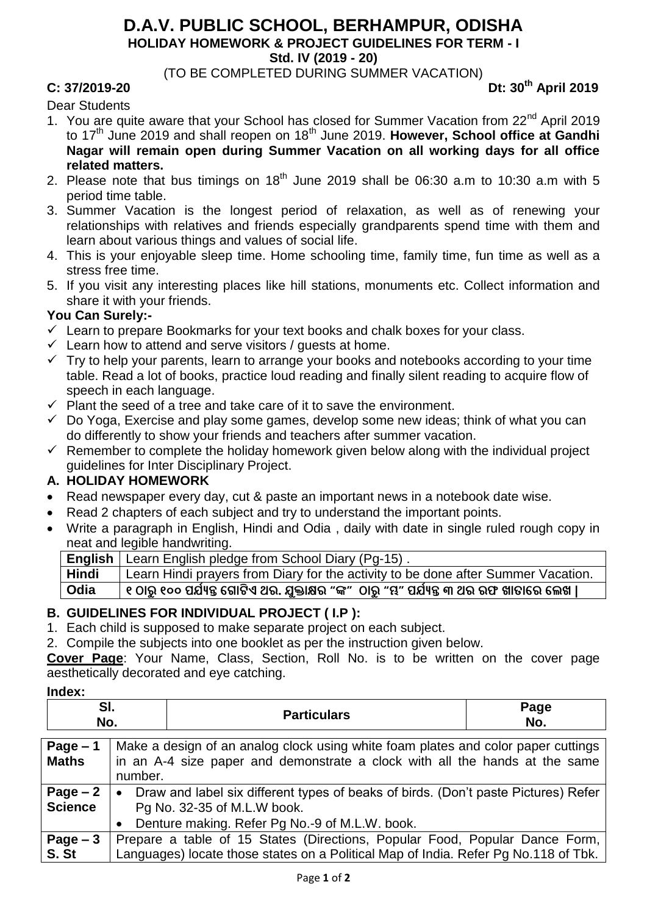# **D.A.V. PUBLIC SCHOOL, BERHAMPUR, ODISHA HOLIDAY HOMEWORK & PROJECT GUIDELINES FOR TERM - I**

**Std. IV (2019 - 20)**

(TO BE COMPLETED DURING SUMMER VACATION)

# **C: 37/2019-20 Dt: 30th April 2019**

Dear Students

- 1. You are quite aware that your School has closed for Summer Vacation from 22<sup>nd</sup> April 2019 to 17<sup>th</sup> June 2019 and shall reopen on 18<sup>th</sup> June 2019. **However, School office at Gandhi Nagar will remain open during Summer Vacation on all working days for all office related matters.**
- 2. Please note that bus timings on  $18<sup>th</sup>$  June 2019 shall be 06:30 a.m to 10:30 a.m with 5 period time table.
- 3. Summer Vacation is the longest period of relaxation, as well as of renewing your relationships with relatives and friends especially grandparents spend time with them and learn about various things and values of social life.
- 4. This is your enjoyable sleep time. Home schooling time, family time, fun time as well as a stress free time.
- 5. If you visit any interesting places like hill stations, monuments etc. Collect information and share it with your friends.

## **You Can Surely:-**

- $\checkmark$  Learn to prepare Bookmarks for your text books and chalk boxes for your class.
- $\checkmark$  Learn how to attend and serve visitors / quests at home.
- $\checkmark$  Try to help your parents, learn to arrange your books and notebooks according to your time table. Read a lot of books, practice loud reading and finally silent reading to acquire flow of speech in each language.
- $\checkmark$  Plant the seed of a tree and take care of it to save the environment.
- $\checkmark$  Do Yoga, Exercise and play some games, develop some new ideas; think of what you can do differently to show your friends and teachers after summer vacation.
- $\checkmark$  Remember to complete the holiday homework given below along with the individual project guidelines for Inter Disciplinary Project.

# **A. HOLIDAY HOMEWORK**

- Read newspaper every day, cut & paste an important news in a notebook date wise.
- Read 2 chapters of each subject and try to understand the important points.
- Write a paragraph in English, Hindi and Odia , daily with date in single ruled rough copy in neat and legible handwriting.

**English** Learn English pledge from School Diary (Pg-15) .

**Hindi** Learn Hindi prayers from Diary for the activity to be done after Summer Vacation.

**Odia ୧ ଠାରୁ୧୦୦ ପର୍ଯ୍ୟନ୍ତ ଗ ାଟିଏ ଥର. ର୍ଯୁକ୍ତାକ୍ଷର "ଙ୍କ" ଠାରୁ "ମ୍ଭ" ପର୍ଯ୍ୟନ୍ତ ୩ ଥର ରଫ ଖାତାଗର ଗେଖ |**

# **B. GUIDELINES FOR INDIVIDUAL PROJECT ( I.P ):**

1. Each child is supposed to make separate project on each subject.

2. Compile the subjects into one booklet as per the instruction given below.

**Cover Page**: Your Name, Class, Section, Roll No. is to be written on the cover page aesthetically decorated and eye catching.

#### **Index:**

| U<br>NO. |  | <b>Particulars</b>                                                                                  | Page<br>NO. |
|----------|--|-----------------------------------------------------------------------------------------------------|-------------|
|          |  |                                                                                                     |             |
| n.       |  | المعمى باللزيم وممجم وماجم احمد وملوام بمجمع وبالمارن ومرامين باممام وماموم وممرع والمسامعات والملي |             |

| Page $-1$      | Make a design of an analog clock using white foam plates and color paper cuttings               |  |
|----------------|-------------------------------------------------------------------------------------------------|--|
| <b>Maths</b>   | in an A-4 size paper and demonstrate a clock with all the hands at the same                     |  |
|                | number.                                                                                         |  |
| $Page-2$       | Draw and label six different types of beaks of birds. (Don't paste Pictures) Refer<br>$\bullet$ |  |
| <b>Science</b> | Pg No. 32-35 of M.L.W book.                                                                     |  |
|                | Denture making. Refer Pg No.-9 of M.L.W. book.                                                  |  |
| Page $-3$      | Prepare a table of 15 States (Directions, Popular Food, Popular Dance Form,                     |  |
| S. St          | Languages) locate those states on a Political Map of India. Refer Pg No.118 of Tbk.             |  |